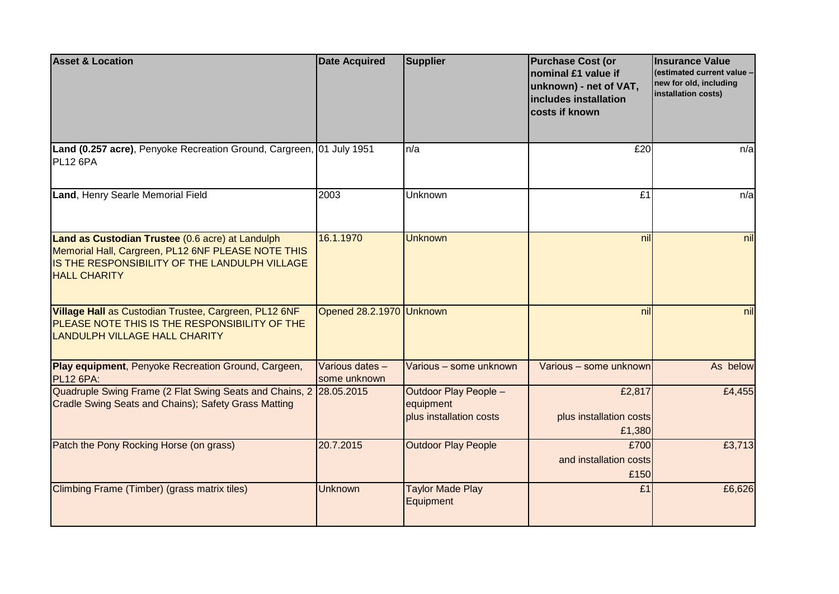| <b>Asset &amp; Location</b>                                                                                                                                                    | <b>Date Acquired</b>            | <b>Supplier</b>                                                      | <b>Purchase Cost (or</b><br>nominal £1 value if<br>unknown) - net of VAT,<br>includes installation<br>costs if known | <b>Insurance Value</b><br>(estimated current value -<br>new for old, including<br>installation costs) |
|--------------------------------------------------------------------------------------------------------------------------------------------------------------------------------|---------------------------------|----------------------------------------------------------------------|----------------------------------------------------------------------------------------------------------------------|-------------------------------------------------------------------------------------------------------|
| Land (0.257 acre), Penyoke Recreation Ground, Cargreen, 01 July 1951<br>PL12 6PA                                                                                               |                                 | n/a                                                                  | £20                                                                                                                  | n/a                                                                                                   |
| Land, Henry Searle Memorial Field                                                                                                                                              | 2003                            | Unknown                                                              | E1                                                                                                                   | n/a                                                                                                   |
| Land as Custodian Trustee (0.6 acre) at Landulph<br>Memorial Hall, Cargreen, PL12 6NF PLEASE NOTE THIS<br>IS THE RESPONSIBILITY OF THE LANDULPH VILLAGE<br><b>HALL CHARITY</b> | 16.1.1970                       | <b>Unknown</b>                                                       | nil                                                                                                                  | nil                                                                                                   |
| Village Hall as Custodian Trustee, Cargreen, PL12 6NF<br>PLEASE NOTE THIS IS THE RESPONSIBILITY OF THE<br><b>LANDULPH VILLAGE HALL CHARITY</b>                                 | Opened 28.2.1970 Unknown        |                                                                      | nill                                                                                                                 | nil                                                                                                   |
| Play equipment, Penyoke Recreation Ground, Cargeen,<br><b>PL12 6PA:</b>                                                                                                        | Various dates -<br>some unknown | Various - some unknown                                               | Various - some unknown                                                                                               | As below                                                                                              |
| Quadruple Swing Frame (2 Flat Swing Seats and Chains, 2 28.05.2015<br>Cradle Swing Seats and Chains); Safety Grass Matting                                                     |                                 | <b>Outdoor Play People -</b><br>equipment<br>plus installation costs | £2,817<br>plus installation costs<br>£1,380                                                                          | £4,455                                                                                                |
| Patch the Pony Rocking Horse (on grass)                                                                                                                                        | 20.7.2015                       | <b>Outdoor Play People</b>                                           | £700<br>and installation costs<br>£150                                                                               | £3,713                                                                                                |
| Climbing Frame (Timber) (grass matrix tiles)                                                                                                                                   | <b>Unknown</b>                  | <b>Taylor Made Play</b><br>Equipment                                 | £1                                                                                                                   | £6,626                                                                                                |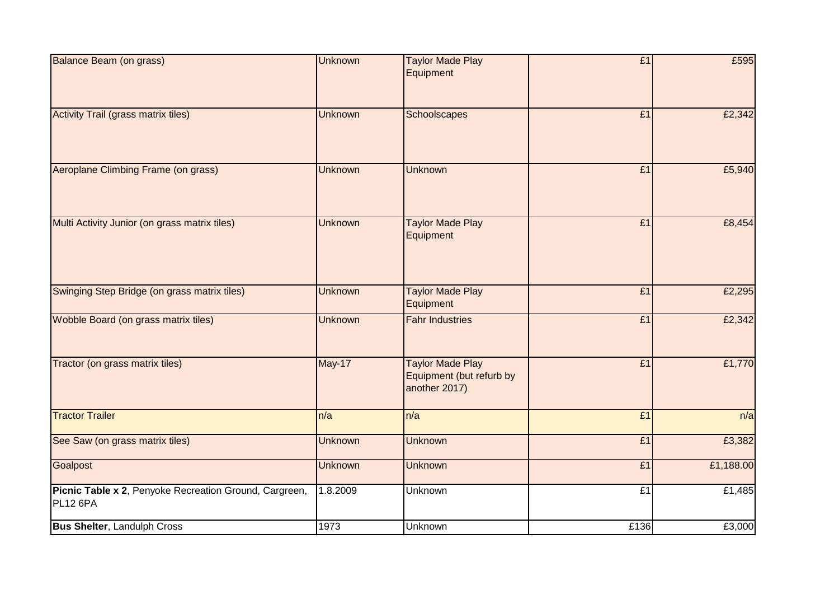| <b>Balance Beam (on grass)</b>                                     | <b>Unknown</b> | <b>Taylor Made Play</b><br>Equipment                                 | E1   | £595      |
|--------------------------------------------------------------------|----------------|----------------------------------------------------------------------|------|-----------|
|                                                                    |                |                                                                      |      |           |
| <b>Activity Trail (grass matrix tiles)</b>                         | <b>Unknown</b> | Schoolscapes                                                         | E1   | £2,342    |
| Aeroplane Climbing Frame (on grass)                                | <b>Unknown</b> | <b>Unknown</b>                                                       | £1   | £5,940    |
| Multi Activity Junior (on grass matrix tiles)                      | <b>Unknown</b> | <b>Taylor Made Play</b><br>Equipment                                 | E1   | £8,454    |
| Swinging Step Bridge (on grass matrix tiles)                       | <b>Unknown</b> | <b>Taylor Made Play</b><br>Equipment                                 | £1   | £2,295    |
| Wobble Board (on grass matrix tiles)                               | <b>Unknown</b> | <b>Fahr Industries</b>                                               | E1   | £2,342    |
| Tractor (on grass matrix tiles)                                    | <b>May-17</b>  | <b>Taylor Made Play</b><br>Equipment (but refurb by<br>another 2017) | E1   | £1,770    |
| <b>Tractor Trailer</b>                                             | n/a            | n/a                                                                  | E1   | n/a       |
| See Saw (on grass matrix tiles)                                    | <b>Unknown</b> | <b>Unknown</b>                                                       | £1   | £3,382    |
| Goalpost                                                           | <b>Unknown</b> | <b>Unknown</b>                                                       | E1   | £1,188.00 |
| Picnic Table x 2, Penyoke Recreation Ground, Cargreen,<br>PL12 6PA | 1.8.2009       | Unknown                                                              | £1   | £1,485    |
| <b>Bus Shelter, Landulph Cross</b>                                 | 1973           | <b>Unknown</b>                                                       | £136 | £3,000    |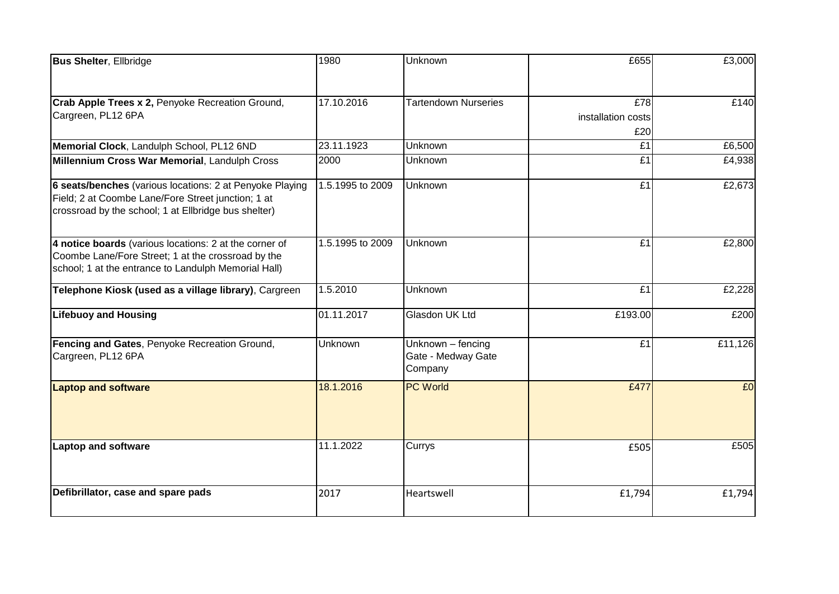| <b>Bus Shelter, Ellbridge</b>                                                                                                                                          | 1980             | Unknown                                            | £655                             | £3,000  |
|------------------------------------------------------------------------------------------------------------------------------------------------------------------------|------------------|----------------------------------------------------|----------------------------------|---------|
| Crab Apple Trees x 2, Penyoke Recreation Ground,<br>Cargreen, PL12 6PA                                                                                                 | 17.10.2016       | <b>Tartendown Nurseries</b>                        | E78<br>installation costs<br>£20 | £140    |
| Memorial Clock, Landulph School, PL12 6ND                                                                                                                              | 23.11.1923       | Unknown                                            | £1                               | £6,500  |
| Millennium Cross War Memorial, Landulph Cross                                                                                                                          | 2000             | Unknown                                            | £1                               | £4,938  |
| 6 seats/benches (various locations: 2 at Penyoke Playing<br>Field; 2 at Coombe Lane/Fore Street junction; 1 at<br>crossroad by the school; 1 at Ellbridge bus shelter) | 1.5.1995 to 2009 | <b>Unknown</b>                                     | E1                               | £2,673  |
| 4 notice boards (various locations: 2 at the corner of<br>Coombe Lane/Fore Street; 1 at the crossroad by the<br>school; 1 at the entrance to Landulph Memorial Hall)   | 1.5.1995 to 2009 | Unknown                                            | E1                               | £2,800  |
| Telephone Kiosk (used as a village library), Cargreen                                                                                                                  | 1.5.2010         | Unknown                                            | £1                               | £2,228  |
| <b>Lifebuoy and Housing</b>                                                                                                                                            | 01.11.2017       | Glasdon UK Ltd                                     | £193.00                          | £200    |
| Fencing and Gates, Penyoke Recreation Ground,<br>Cargreen, PL12 6PA                                                                                                    | <b>Unknown</b>   | Unknown - fencing<br>Gate - Medway Gate<br>Company | E1                               | £11,126 |
| <b>Laptop and software</b>                                                                                                                                             | 18.1.2016        | <b>PC World</b>                                    | £477                             | £0      |
| Laptop and software                                                                                                                                                    | 11.1.2022        | Currys                                             | £505                             | £505    |
| Defibrillator, case and spare pads                                                                                                                                     | 2017             | Heartswell                                         | £1,794                           | £1,794  |